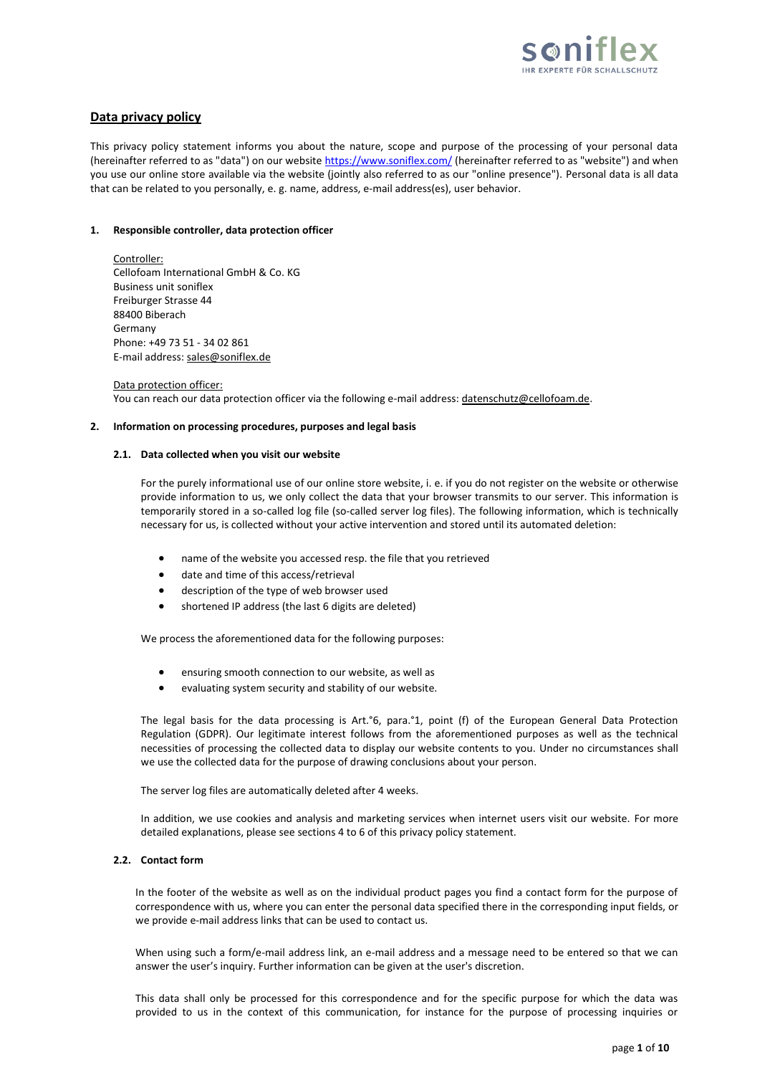

# **Data privacy policy**

This privacy policy statement informs you about the nature, scope and purpose of the processing of your personal data (hereinafter referred to as "data") on our websit[e https://www.soniflex.com/](https://www.soniflex.com/) (hereinafter referred to as "website") and when you use our online store available via the website (jointly also referred to as our "online presence"). Personal data is all data that can be related to you personally, e. g. name, address, e-mail address(es), user behavior.

### **1. Responsible controller, data protection officer**

Controller: Cellofoam International GmbH & Co. KG Business unit soniflex Freiburger Strasse 44 88400 Biberach Germany Phone: +49 73 51 - 34 02 861 E-mail address: [sales@soniflex.de](mailto:sales@soniflex.de)

Data protection officer: You can reach our data protection officer via the following e-mail address: [datenschutz@cellofoam.de.](mailto:datenschutz@cellofoam.de)

## **2. Information on processing procedures, purposes and legal basis**

## **2.1. Data collected when you visit our website**

For the purely informational use of our online store website, i. e. if you do not register on the website or otherwise provide information to us, we only collect the data that your browser transmits to our server. This information is temporarily stored in a so-called log file (so-called server log files). The following information, which is technically necessary for us, is collected without your active intervention and stored until its automated deletion:

- name of the website you accessed resp. the file that you retrieved
- date and time of this access/retrieval
- description of the type of web browser used
- shortened IP address (the last 6 digits are deleted)

We process the aforementioned data for the following purposes:

- ensuring smooth connection to our website, as well as
- evaluating system security and stability of our website.

The legal basis for the data processing is Art.°6, para.°1, point (f) of the European General Data Protection Regulation (GDPR). Our legitimate interest follows from the aforementioned purposes as well as the technical necessities of processing the collected data to display our website contents to you. Under no circumstances shall we use the collected data for the purpose of drawing conclusions about your person.

The server log files are automatically deleted after 4 weeks.

In addition, we use cookies and analysis and marketing services when internet users visit our website. For more detailed explanations, please see sections 4 to 6 of this privacy policy statement.

## **2.2. Contact form**

In the footer of the website as well as on the individual product pages you find a contact form for the purpose of correspondence with us, where you can enter the personal data specified there in the corresponding input fields, or we provide e-mail address links that can be used to contact us.

When using such a form/e-mail address link, an e-mail address and a message need to be entered so that we can answer the user's inquiry. Further information can be given at the user's discretion.

This data shall only be processed for this correspondence and for the specific purpose for which the data was provided to us in the context of this communication, for instance for the purpose of processing inquiries or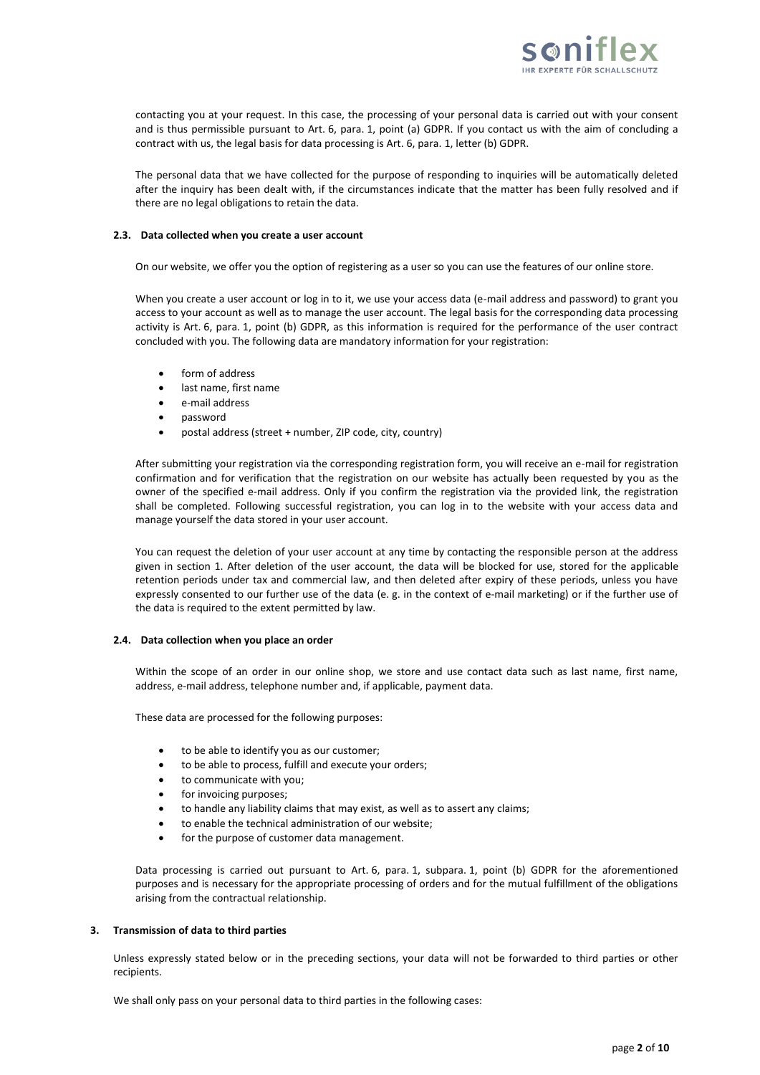

contacting you at your request. In this case, the processing of your personal data is carried out with your consent and is thus permissible pursuant to Art. 6, para. 1, point (a) GDPR. If you contact us with the aim of concluding a contract with us, the legal basis for data processing is Art. 6, para. 1, letter (b) GDPR.

The personal data that we have collected for the purpose of responding to inquiries will be automatically deleted after the inquiry has been dealt with, if the circumstances indicate that the matter has been fully resolved and if there are no legal obligations to retain the data.

### **2.3. Data collected when you create a user account**

On our website, we offer you the option of registering as a user so you can use the features of our online store.

When you create a user account or log in to it, we use your access data (e-mail address and password) to grant you access to your account as well as to manage the user account. The legal basis for the corresponding data processing activity is Art. 6, para. 1, point (b) GDPR, as this information is required for the performance of the user contract concluded with you. The following data are mandatory information for your registration:

- form of address
- last name, first name
- e-mail address
- password
- postal address (street + number, ZIP code, city, country)

After submitting your registration via the corresponding registration form, you will receive an e-mail for registration confirmation and for verification that the registration on our website has actually been requested by you as the owner of the specified e-mail address. Only if you confirm the registration via the provided link, the registration shall be completed. Following successful registration, you can log in to the website with your access data and manage yourself the data stored in your user account.

You can request the deletion of your user account at any time by contacting the responsible person at the address given in section 1. After deletion of the user account, the data will be blocked for use, stored for the applicable retention periods under tax and commercial law, and then deleted after expiry of these periods, unless you have expressly consented to our further use of the data (e. g. in the context of e-mail marketing) or if the further use of the data is required to the extent permitted by law.

#### **2.4. Data collection when you place an order**

Within the scope of an order in our online shop, we store and use contact data such as last name, first name, address, e-mail address, telephone number and, if applicable, payment data.

These data are processed for the following purposes:

- to be able to identify you as our customer;
- to be able to process, fulfill and execute your orders;
- to communicate with you;
- for invoicing purposes;
- to handle any liability claims that may exist, as well as to assert any claims;
- to enable the technical administration of our website;
- for the purpose of customer data management.

Data processing is carried out pursuant to Art. 6, para. 1, subpara. 1, point (b) GDPR for the aforementioned purposes and is necessary for the appropriate processing of orders and for the mutual fulfillment of the obligations arising from the contractual relationship.

#### **3. Transmission of data to third parties**

Unless expressly stated below or in the preceding sections, your data will not be forwarded to third parties or other recipients.

We shall only pass on your personal data to third parties in the following cases: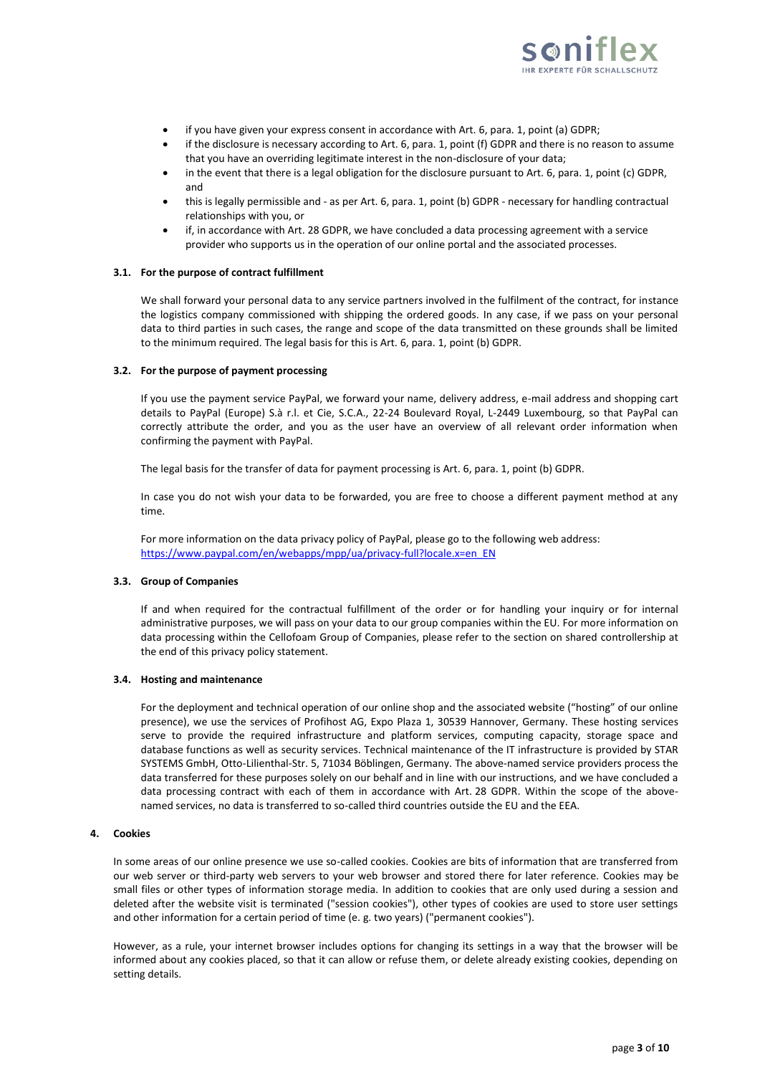

- if you have given your express consent in accordance with Art. 6, para. 1, point (a) GDPR;
- if the disclosure is necessary according to Art. 6, para. 1, point (f) GDPR and there is no reason to assume that you have an overriding legitimate interest in the non-disclosure of your data;
- in the event that there is a legal obligation for the disclosure pursuant to Art. 6, para. 1, point (c) GDPR, and
- this is legally permissible and as per Art. 6, para. 1, point (b) GDPR necessary for handling contractual relationships with you, or
- if, in accordance with Art. 28 GDPR, we have concluded a data processing agreement with a service provider who supports us in the operation of our online portal and the associated processes.

### **3.1. For the purpose of contract fulfillment**

We shall forward your personal data to any service partners involved in the fulfilment of the contract, for instance the logistics company commissioned with shipping the ordered goods. In any case, if we pass on your personal data to third parties in such cases, the range and scope of the data transmitted on these grounds shall be limited to the minimum required. The legal basis for this is Art. 6, para. 1, point (b) GDPR.

#### **3.2. For the purpose of payment processing**

If you use the payment service PayPal, we forward your name, delivery address, e-mail address and shopping cart details to PayPal (Europe) S.à r.l. et Cie, S.C.A., 22-24 Boulevard Royal, L-2449 Luxembourg, so that PayPal can correctly attribute the order, and you as the user have an overview of all relevant order information when confirming the payment with PayPal.

The legal basis for the transfer of data for payment processing is Art. 6, para. 1, point (b) GDPR.

In case you do not wish your data to be forwarded, you are free to choose a different payment method at any time.

For more information on the data privacy policy of PayPal, please go to the following web address: [https://www.paypal.com/en/webapps/mpp/ua/privacy-full?locale.x=en\\_EN](https://www.paypal.com/en/webapps/mpp/ua/privacy-full?locale.x=en_EN)

### **3.3. Group of Companies**

If and when required for the contractual fulfillment of the order or for handling your inquiry or for internal administrative purposes, we will pass on your data to our group companies within the EU. For more information on data processing within the Cellofoam Group of Companies, please refer to the section on shared controllership at the end of this privacy policy statement.

#### **3.4. Hosting and maintenance**

For the deployment and technical operation of our online shop and the associated website ("hosting" of our online presence), we use the services of Profihost AG, Expo Plaza 1, 30539 Hannover, Germany. These hosting services serve to provide the required infrastructure and platform services, computing capacity, storage space and database functions as well as security services. Technical maintenance of the IT infrastructure is provided by STAR SYSTEMS GmbH, Otto-Lilienthal-Str. 5, 71034 Böblingen, Germany. The above-named service providers process the data transferred for these purposes solely on our behalf and in line with our instructions, and we have concluded a data processing contract with each of them in accordance with Art. 28 GDPR. Within the scope of the abovenamed services, no data is transferred to so-called third countries outside the EU and the EEA.

#### **4. Cookies**

In some areas of our online presence we use so-called cookies. Cookies are bits of information that are transferred from our web server or third-party web servers to your web browser and stored there for later reference. Cookies may be small files or other types of information storage media. In addition to cookies that are only used during a session and deleted after the website visit is terminated ("session cookies"), other types of cookies are used to store user settings and other information for a certain period of time (e. g. two years) ("permanent cookies").

However, as a rule, your internet browser includes options for changing its settings in a way that the browser will be informed about any cookies placed, so that it can allow or refuse them, or delete already existing cookies, depending on setting details.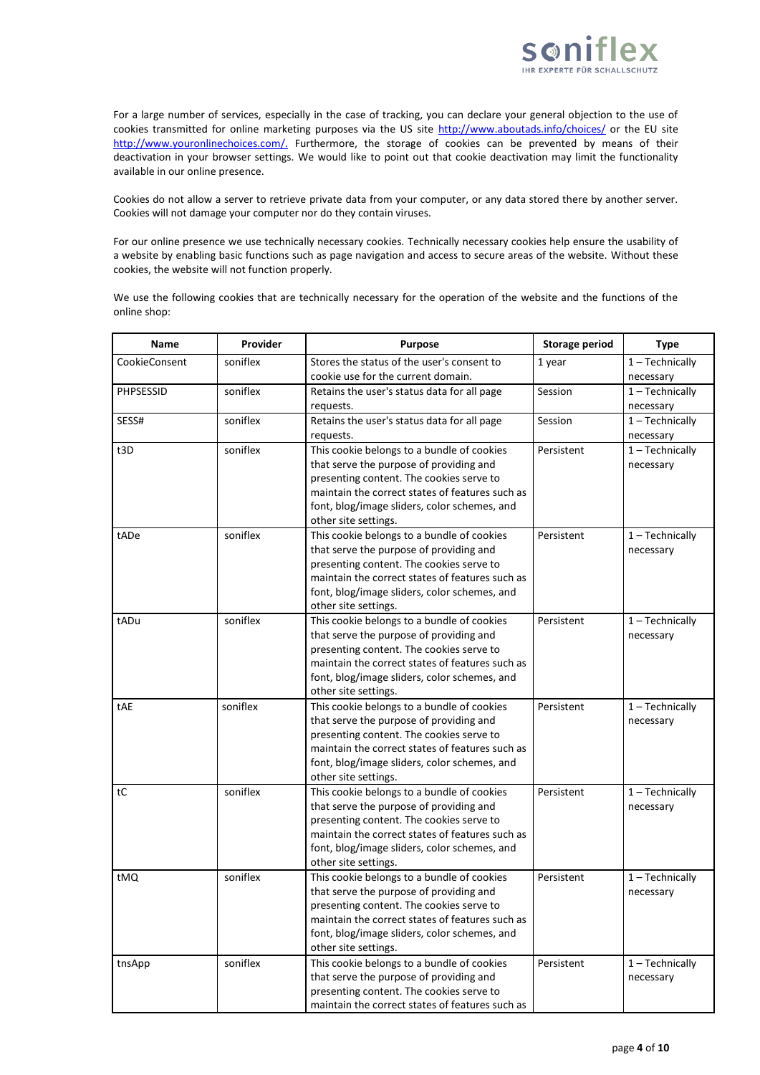

For a large number of services, especially in the case of tracking, you can declare your general objection to the use of cookies transmitted for online marketing purposes via the US site<http://www.aboutads.info/choices/> or the EU site [http://www.youronlinechoices.com/.](http://www.youronlinechoices.com/) Furthermore, the storage of cookies can be prevented by means of their deactivation in your browser settings. We would like to point out that cookie deactivation may limit the functionality available in our online presence.

Cookies do not allow a server to retrieve private data from your computer, or any data stored there by another server. Cookies will not damage your computer nor do they contain viruses.

For our online presence we use technically necessary cookies. Technically necessary cookies help ensure the usability of a website by enabling basic functions such as page navigation and access to secure areas of the website. Without these cookies, the website will not function properly.

We use the following cookies that are technically necessary for the operation of the website and the functions of the online shop:

| Name          | Provider | <b>Purpose</b>                                                                                                                                                                                                                                               | <b>Storage period</b> | <b>Type</b>                    |
|---------------|----------|--------------------------------------------------------------------------------------------------------------------------------------------------------------------------------------------------------------------------------------------------------------|-----------------------|--------------------------------|
| CookieConsent | soniflex | Stores the status of the user's consent to<br>cookie use for the current domain.                                                                                                                                                                             | 1 year                | $1 - Technically$<br>necessary |
| PHPSESSID     | soniflex | Retains the user's status data for all page<br>requests.                                                                                                                                                                                                     | Session               | $1 - Technically$<br>necessary |
| SESS#         | soniflex | Retains the user's status data for all page<br>requests.                                                                                                                                                                                                     | Session               | $1 - Technically$<br>necessary |
| t3D           | soniflex | This cookie belongs to a bundle of cookies<br>that serve the purpose of providing and<br>presenting content. The cookies serve to<br>maintain the correct states of features such as<br>font, blog/image sliders, color schemes, and<br>other site settings. | Persistent            | $1 - Technically$<br>necessary |
| tADe          | soniflex | This cookie belongs to a bundle of cookies<br>that serve the purpose of providing and<br>presenting content. The cookies serve to<br>maintain the correct states of features such as<br>font, blog/image sliders, color schemes, and<br>other site settings. | Persistent            | $1 - Technically$<br>necessary |
| tADu          | soniflex | This cookie belongs to a bundle of cookies<br>that serve the purpose of providing and<br>presenting content. The cookies serve to<br>maintain the correct states of features such as<br>font, blog/image sliders, color schemes, and<br>other site settings. | Persistent            | $1 - Technically$<br>necessary |
| tAE           | soniflex | This cookie belongs to a bundle of cookies<br>that serve the purpose of providing and<br>presenting content. The cookies serve to<br>maintain the correct states of features such as<br>font, blog/image sliders, color schemes, and<br>other site settings. | Persistent            | $1 - Technically$<br>necessary |
| tC            | soniflex | This cookie belongs to a bundle of cookies<br>that serve the purpose of providing and<br>presenting content. The cookies serve to<br>maintain the correct states of features such as<br>font, blog/image sliders, color schemes, and<br>other site settings. | Persistent            | $1 - Technically$<br>necessary |
| tMQ           | soniflex | This cookie belongs to a bundle of cookies<br>that serve the purpose of providing and<br>presenting content. The cookies serve to<br>maintain the correct states of features such as<br>font, blog/image sliders, color schemes, and<br>other site settings. | Persistent            | $1 - Technically$<br>necessary |
| tnsApp        | soniflex | This cookie belongs to a bundle of cookies<br>that serve the purpose of providing and<br>presenting content. The cookies serve to<br>maintain the correct states of features such as                                                                         | Persistent            | $1 - Technically$<br>necessary |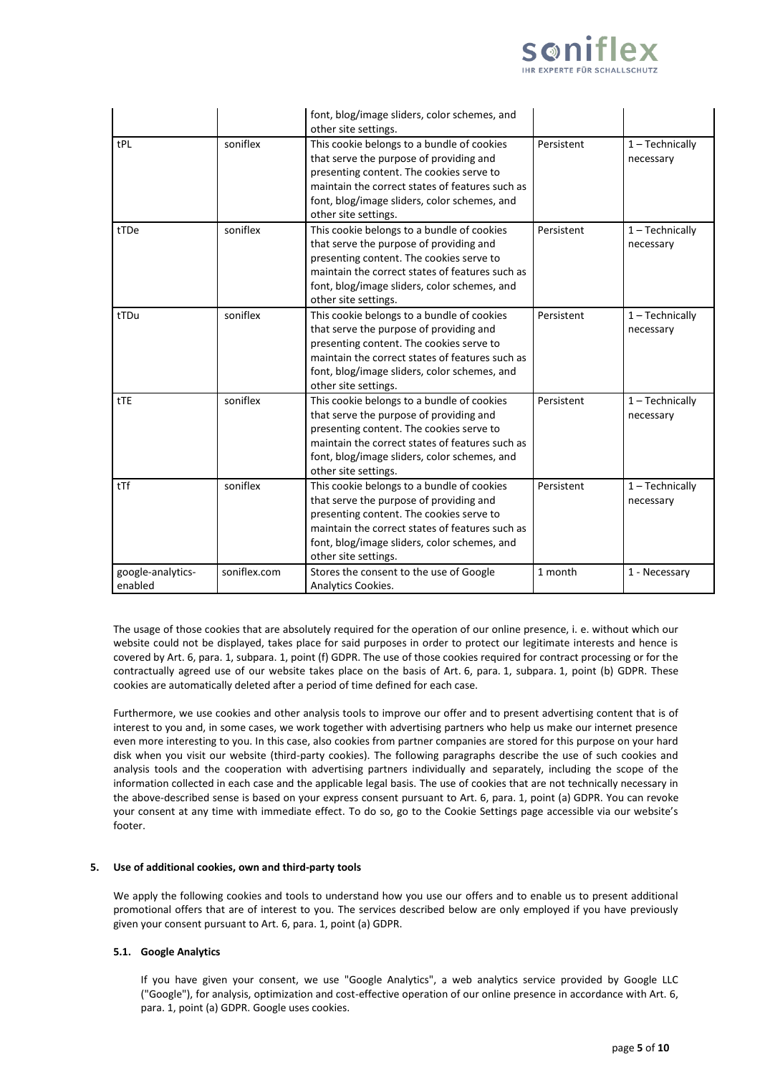

|                              |              | font, blog/image sliders, color schemes, and<br>other site settings.                                                                                                                                                                                         |            |                                |
|------------------------------|--------------|--------------------------------------------------------------------------------------------------------------------------------------------------------------------------------------------------------------------------------------------------------------|------------|--------------------------------|
| tPL                          | soniflex     | This cookie belongs to a bundle of cookies<br>that serve the purpose of providing and<br>presenting content. The cookies serve to<br>maintain the correct states of features such as<br>font, blog/image sliders, color schemes, and<br>other site settings. | Persistent | $1 - Technically$<br>necessary |
| tTDe                         | soniflex     | This cookie belongs to a bundle of cookies<br>that serve the purpose of providing and<br>presenting content. The cookies serve to<br>maintain the correct states of features such as<br>font, blog/image sliders, color schemes, and<br>other site settings. | Persistent | $1 - Technically$<br>necessary |
| tTDu                         | soniflex     | This cookie belongs to a bundle of cookies<br>that serve the purpose of providing and<br>presenting content. The cookies serve to<br>maintain the correct states of features such as<br>font, blog/image sliders, color schemes, and<br>other site settings. | Persistent | $1 - Technically$<br>necessary |
| tTE                          | soniflex     | This cookie belongs to a bundle of cookies<br>that serve the purpose of providing and<br>presenting content. The cookies serve to<br>maintain the correct states of features such as<br>font, blog/image sliders, color schemes, and<br>other site settings. | Persistent | $1 - Technically$<br>necessary |
| tTf                          | soniflex     | This cookie belongs to a bundle of cookies<br>that serve the purpose of providing and<br>presenting content. The cookies serve to<br>maintain the correct states of features such as<br>font, blog/image sliders, color schemes, and<br>other site settings. | Persistent | $1 - Technically$<br>necessary |
| google-analytics-<br>enabled | soniflex.com | Stores the consent to the use of Google<br>Analytics Cookies.                                                                                                                                                                                                | 1 month    | 1 - Necessary                  |

The usage of those cookies that are absolutely required for the operation of our online presence, i. e. without which our website could not be displayed, takes place for said purposes in order to protect our legitimate interests and hence is covered by Art. 6, para. 1, subpara. 1, point (f) GDPR. The use of those cookies required for contract processing or for the contractually agreed use of our website takes place on the basis of Art. 6, para. 1, subpara. 1, point (b) GDPR. These cookies are automatically deleted after a period of time defined for each case.

Furthermore, we use cookies and other analysis tools to improve our offer and to present advertising content that is of interest to you and, in some cases, we work together with advertising partners who help us make our internet presence even more interesting to you. In this case, also cookies from partner companies are stored for this purpose on your hard disk when you visit our website (third-party cookies). The following paragraphs describe the use of such cookies and analysis tools and the cooperation with advertising partners individually and separately, including the scope of the information collected in each case and the applicable legal basis. The use of cookies that are not technically necessary in the above-described sense is based on your express consent pursuant to Art. 6, para. 1, point (a) GDPR. You can revoke your consent at any time with immediate effect. To do so, go to the Cookie Settings page accessible via our website's footer.

#### **5. Use of additional cookies, own and third-party tools**

We apply the following cookies and tools to understand how you use our offers and to enable us to present additional promotional offers that are of interest to you. The services described below are only employed if you have previously given your consent pursuant to Art. 6, para. 1, point (a) GDPR.

## **5.1. Google Analytics**

If you have given your consent, we use "Google Analytics", a web analytics service provided by Google LLC ("Google"), for analysis, optimization and cost-effective operation of our online presence in accordance with Art. 6, para. 1, point (a) GDPR. Google uses cookies.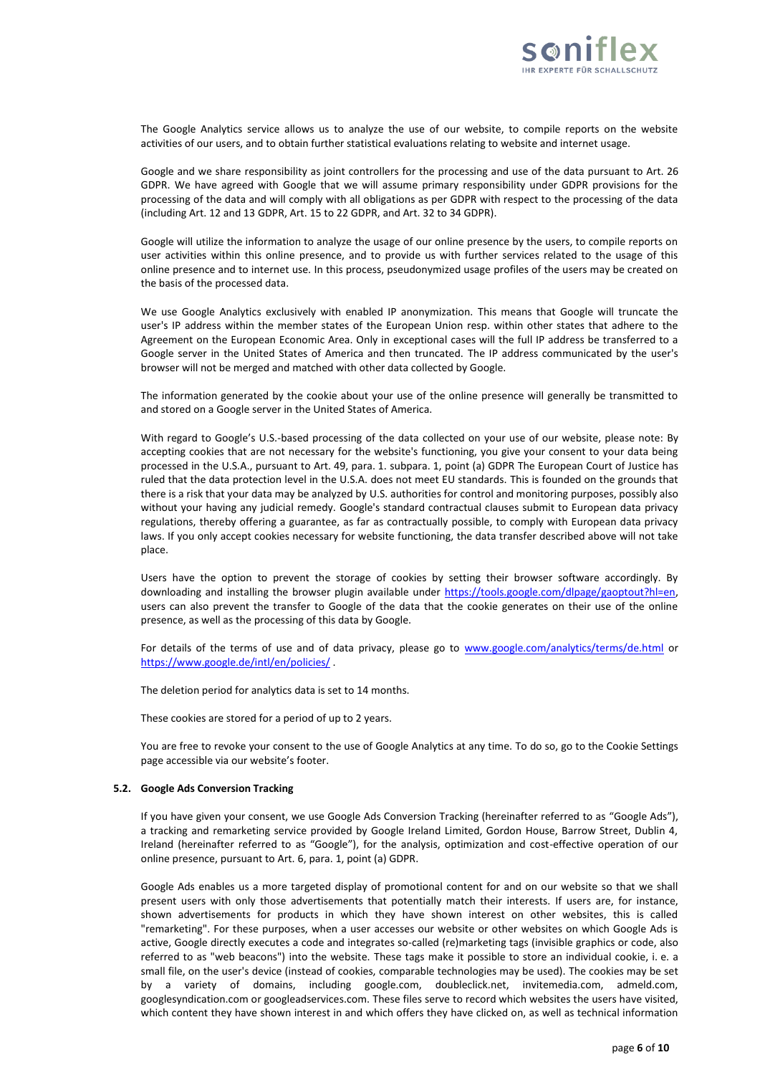

The Google Analytics service allows us to analyze the use of our website, to compile reports on the website activities of our users, and to obtain further statistical evaluations relating to website and internet usage.

Google and we share responsibility as joint controllers for the processing and use of the data pursuant to Art. 26 GDPR. We have agreed with Google that we will assume primary responsibility under GDPR provisions for the processing of the data and will comply with all obligations as per GDPR with respect to the processing of the data (including Art. 12 and 13 GDPR, Art. 15 to 22 GDPR, and Art. 32 to 34 GDPR).

Google will utilize the information to analyze the usage of our online presence by the users, to compile reports on user activities within this online presence, and to provide us with further services related to the usage of this online presence and to internet use. In this process, pseudonymized usage profiles of the users may be created on the basis of the processed data.

We use Google Analytics exclusively with enabled IP anonymization. This means that Google will truncate the user's IP address within the member states of the European Union resp. within other states that adhere to the Agreement on the European Economic Area. Only in exceptional cases will the full IP address be transferred to a Google server in the United States of America and then truncated. The IP address communicated by the user's browser will not be merged and matched with other data collected by Google.

The information generated by the cookie about your use of the online presence will generally be transmitted to and stored on a Google server in the United States of America.

With regard to Google's U.S.-based processing of the data collected on your use of our website, please note: By accepting cookies that are not necessary for the website's functioning, you give your consent to your data being processed in the U.S.A., pursuant to Art. 49, para. 1. subpara. 1, point (a) GDPR The European Court of Justice has ruled that the data protection level in the U.S.A. does not meet EU standards. This is founded on the grounds that there is a risk that your data may be analyzed by U.S. authorities for control and monitoring purposes, possibly also without your having any judicial remedy. Google's standard contractual clauses submit to European data privacy regulations, thereby offering a guarantee, as far as contractually possible, to comply with European data privacy laws. If you only accept cookies necessary for website functioning, the data transfer described above will not take place.

Users have the option to prevent the storage of cookies by setting their browser software accordingly. By downloading and installing the browser plugin available under https://tools.google.com/dlpage/gaoptout?hl=en, users can also prevent the transfer to Google of the data that the cookie generates on their use of the online presence, as well as the processing of this data by Google.

For details of the terms of use and of data privacy, please go to [www.google.com/analytics/terms/de.html](http://www.google.com/analytics/terms/de.html) or <https://www.google.de/intl/en/policies/> .

The deletion period for analytics data is set to 14 months.

These cookies are stored for a period of up to 2 years.

You are free to revoke your consent to the use of Google Analytics at any time. To do so, go to the Cookie Settings page accessible via our website's footer.

#### **5.2. Google Ads Conversion Tracking**

If you have given your consent, we use Google Ads Conversion Tracking (hereinafter referred to as "Google Ads"), a tracking and remarketing service provided by Google Ireland Limited, Gordon House, Barrow Street, Dublin 4, Ireland (hereinafter referred to as "Google"), for the analysis, optimization and cost-effective operation of our online presence, pursuant to Art. 6, para. 1, point (a) GDPR.

Google Ads enables us a more targeted display of promotional content for and on our website so that we shall present users with only those advertisements that potentially match their interests. If users are, for instance, shown advertisements for products in which they have shown interest on other websites, this is called "remarketing". For these purposes, when a user accesses our website or other websites on which Google Ads is active, Google directly executes a code and integrates so-called (re)marketing tags (invisible graphics or code, also referred to as "web beacons") into the website. These tags make it possible to store an individual cookie, i. e. a small file, on the user's device (instead of cookies, comparable technologies may be used). The cookies may be set by a variety of domains, including google.com, doubleclick.net, invitemedia.com, admeld.com, googlesyndication.com or googleadservices.com. These files serve to record which websites the users have visited, which content they have shown interest in and which offers they have clicked on, as well as technical information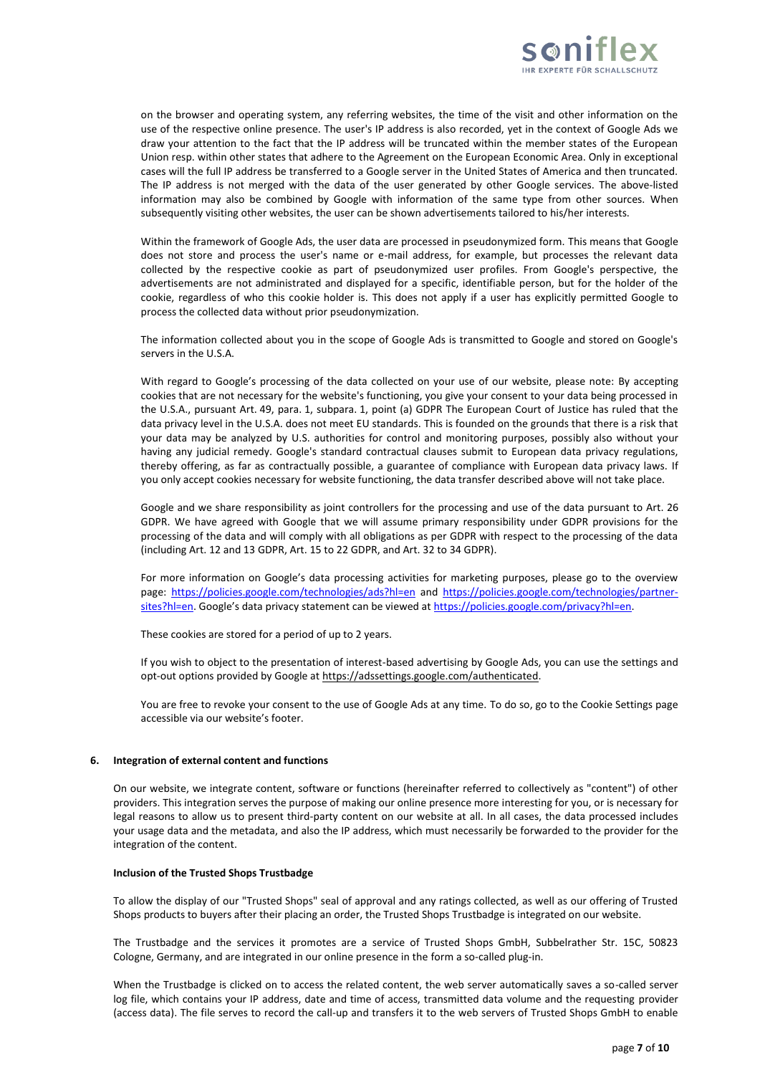

on the browser and operating system, any referring websites, the time of the visit and other information on the use of the respective online presence. The user's IP address is also recorded, yet in the context of Google Ads we draw your attention to the fact that the IP address will be truncated within the member states of the European Union resp. within other states that adhere to the Agreement on the European Economic Area. Only in exceptional cases will the full IP address be transferred to a Google server in the United States of America and then truncated. The IP address is not merged with the data of the user generated by other Google services. The above-listed information may also be combined by Google with information of the same type from other sources. When subsequently visiting other websites, the user can be shown advertisements tailored to his/her interests.

Within the framework of Google Ads, the user data are processed in pseudonymized form. This means that Google does not store and process the user's name or e-mail address, for example, but processes the relevant data collected by the respective cookie as part of pseudonymized user profiles. From Google's perspective, the advertisements are not administrated and displayed for a specific, identifiable person, but for the holder of the cookie, regardless of who this cookie holder is. This does not apply if a user has explicitly permitted Google to process the collected data without prior pseudonymization.

The information collected about you in the scope of Google Ads is transmitted to Google and stored on Google's servers in the U.S.A.

With regard to Google's processing of the data collected on your use of our website, please note: By accepting cookies that are not necessary for the website's functioning, you give your consent to your data being processed in the U.S.A., pursuant Art. 49, para. 1, subpara. 1, point (a) GDPR The European Court of Justice has ruled that the data privacy level in the U.S.A. does not meet EU standards. This is founded on the grounds that there is a risk that your data may be analyzed by U.S. authorities for control and monitoring purposes, possibly also without your having any judicial remedy. Google's standard contractual clauses submit to European data privacy regulations, thereby offering, as far as contractually possible, a guarantee of compliance with European data privacy laws. If you only accept cookies necessary for website functioning, the data transfer described above will not take place.

Google and we share responsibility as joint controllers for the processing and use of the data pursuant to Art. 26 GDPR. We have agreed with Google that we will assume primary responsibility under GDPR provisions for the processing of the data and will comply with all obligations as per GDPR with respect to the processing of the data (including Art. 12 and 13 GDPR, Art. 15 to 22 GDPR, and Art. 32 to 34 GDPR).

For more information on Google's data processing activities for marketing purposes, please go to the overview page: <https://policies.google.com/technologies/ads?hl=en> and [https://policies.google.com/technologies/partner](https://policies.google.com/technologies/partner-sites?hl=en)[sites?hl=en](https://policies.google.com/technologies/partner-sites?hl=en). Google's data privacy statement can be viewed at [https://policies.google.com/privacy?hl=en.](https://policies.google.com/privacy?hl=en)

These cookies are stored for a period of up to 2 years.

If you wish to object to the presentation of interest-based advertising by Google Ads, you can use the settings and opt-out options provided by Google at [https://adssettings.google.com/authenticated.](https://adssettings.google.com/authenticated)

You are free to revoke your consent to the use of Google Ads at any time. To do so, go to the Cookie Settings page accessible via our website's footer.

### **6. Integration of external content and functions**

On our website, we integrate content, software or functions (hereinafter referred to collectively as "content") of other providers. This integration serves the purpose of making our online presence more interesting for you, or is necessary for legal reasons to allow us to present third-party content on our website at all. In all cases, the data processed includes your usage data and the metadata, and also the IP address, which must necessarily be forwarded to the provider for the integration of the content.

#### **Inclusion of the Trusted Shops Trustbadge**

To allow the display of our "Trusted Shops" seal of approval and any ratings collected, as well as our offering of Trusted Shops products to buyers after their placing an order, the Trusted Shops Trustbadge is integrated on our website.

The Trustbadge and the services it promotes are a service of Trusted Shops GmbH, Subbelrather Str. 15C, 50823 Cologne, Germany, and are integrated in our online presence in the form a so-called plug-in.

When the Trustbadge is clicked on to access the related content, the web server automatically saves a so-called server log file, which contains your IP address, date and time of access, transmitted data volume and the requesting provider (access data). The file serves to record the call-up and transfers it to the web servers of Trusted Shops GmbH to enable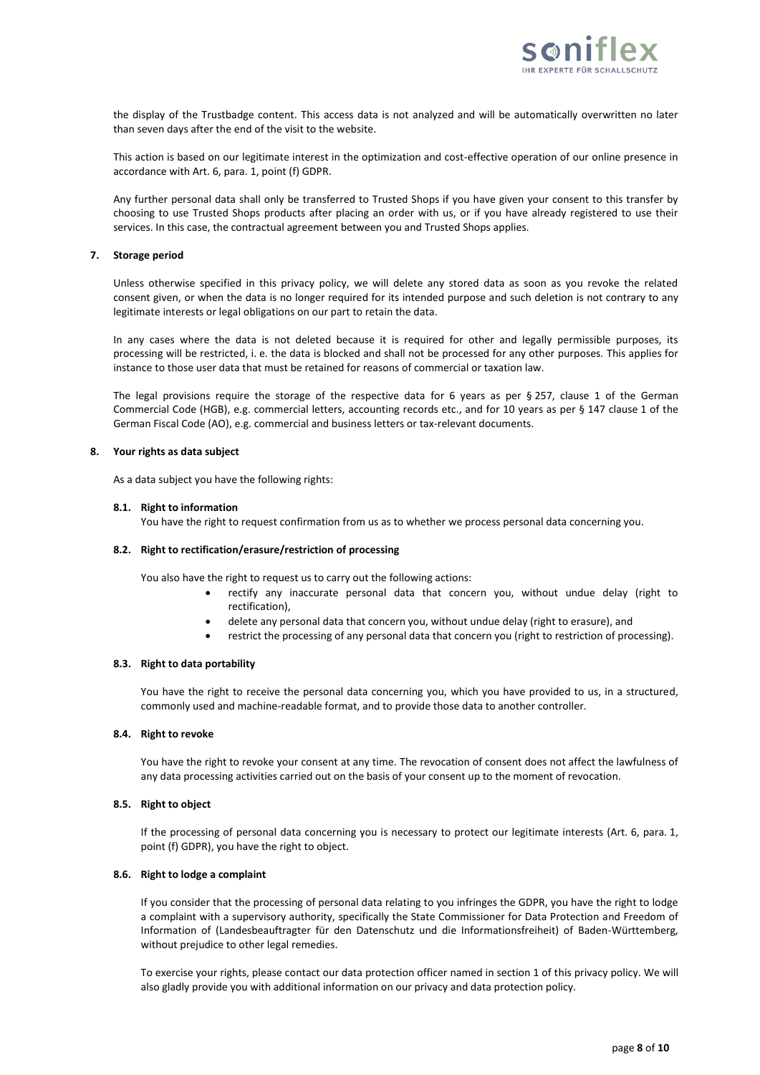

the display of the Trustbadge content. This access data is not analyzed and will be automatically overwritten no later than seven days after the end of the visit to the website.

This action is based on our legitimate interest in the optimization and cost-effective operation of our online presence in accordance with Art. 6, para. 1, point (f) GDPR.

Any further personal data shall only be transferred to Trusted Shops if you have given your consent to this transfer by choosing to use Trusted Shops products after placing an order with us, or if you have already registered to use their services. In this case, the contractual agreement between you and Trusted Shops applies.

### **7. Storage period**

Unless otherwise specified in this privacy policy, we will delete any stored data as soon as you revoke the related consent given, or when the data is no longer required for its intended purpose and such deletion is not contrary to any legitimate interests or legal obligations on our part to retain the data.

In any cases where the data is not deleted because it is required for other and legally permissible purposes, its processing will be restricted, i. e. the data is blocked and shall not be processed for any other purposes. This applies for instance to those user data that must be retained for reasons of commercial or taxation law.

The legal provisions require the storage of the respective data for 6 years as per § 257, clause 1 of the German Commercial Code (HGB), e.g. commercial letters, accounting records etc., and for 10 years as per § 147 clause 1 of the German Fiscal Code (AO), e.g. commercial and business letters or tax-relevant documents.

### **8. Your rights as data subject**

As a data subject you have the following rights:

### **8.1. Right to information**

You have the right to request confirmation from us as to whether we process personal data concerning you.

#### **8.2. Right to rectification/erasure/restriction of processing**

You also have the right to request us to carry out the following actions:

- rectify any inaccurate personal data that concern you, without undue delay (right to rectification),
- delete any personal data that concern you, without undue delay (right to erasure), and
- restrict the processing of any personal data that concern you (right to restriction of processing).

### **8.3. Right to data portability**

You have the right to receive the personal data concerning you, which you have provided to us, in a structured, commonly used and machine-readable format, and to provide those data to another controller.

### **8.4. Right to revoke**

You have the right to revoke your consent at any time. The revocation of consent does not affect the lawfulness of any data processing activities carried out on the basis of your consent up to the moment of revocation.

### **8.5. Right to object**

If the processing of personal data concerning you is necessary to protect our legitimate interests (Art. 6, para. 1, point (f) GDPR), you have the right to object.

## **8.6. Right to lodge a complaint**

If you consider that the processing of personal data relating to you infringes the GDPR, you have the right to lodge a complaint with a supervisory authority, specifically the State Commissioner for Data Protection and Freedom of Information of (Landesbeauftragter für den Datenschutz und die Informationsfreiheit) of Baden-Württemberg, without prejudice to other legal remedies.

To exercise your rights, please contact our data protection officer named in section 1 of this privacy policy. We will also gladly provide you with additional information on our privacy and data protection policy.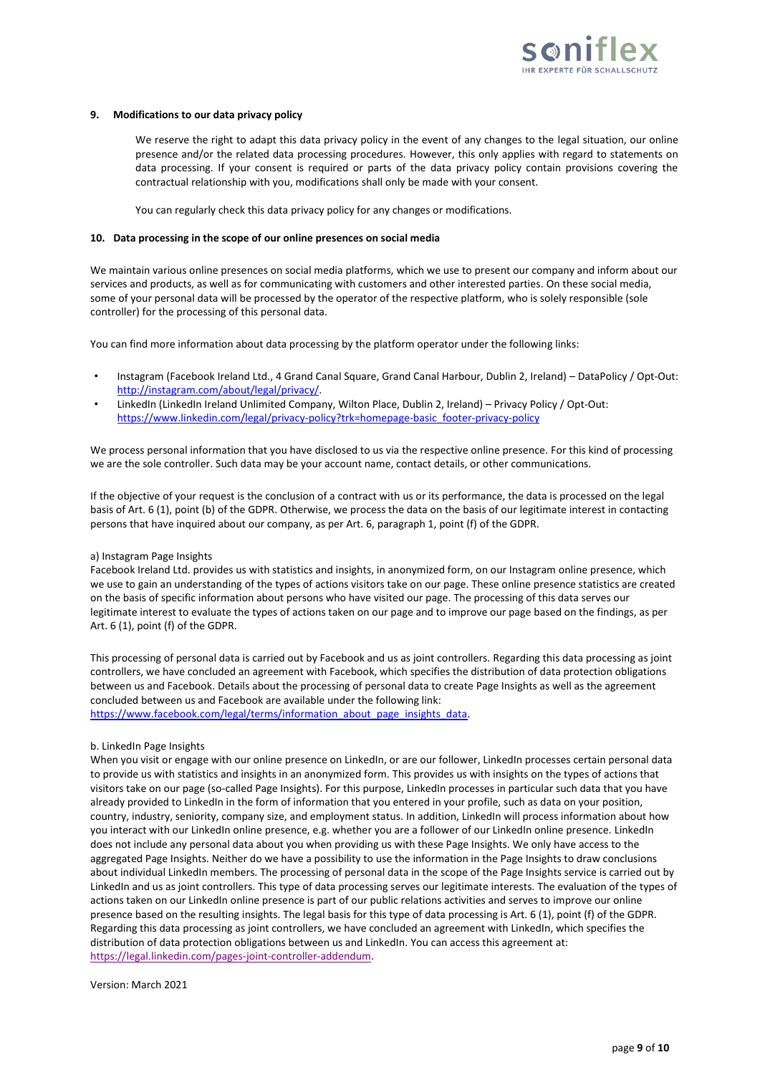

#### **9. Modifications to our data privacy policy**

We reserve the right to adapt this data privacy policy in the event of any changes to the legal situation, our online presence and/or the related data processing procedures. However, this only applies with regard to statements on data processing. If your consent is required or parts of the data privacy policy contain provisions covering the contractual relationship with you, modifications shall only be made with your consent.

You can regularly check this data privacy policy for any changes or modifications.

#### **10. Data processing in the scope of our online presences on social media**

We maintain various online presences on social media platforms, which we use to present our company and inform about our services and products, as well as for communicating with customers and other interested parties. On these social media, some of your personal data will be processed by the operator of the respective platform, who is solely responsible (sole controller) for the processing of this personal data.

You can find more information about data processing by the platform operator under the following links:

- Instagram (Facebook Ireland Ltd., 4 Grand Canal Square, Grand Canal Harbour, Dublin 2, Ireland) DataPolicy / Opt-Out: [http://instagram.com/about/legal/privacy/.](http://instagram.com/about/legal/privacy/)
- LinkedIn (LinkedIn Ireland Unlimited Company, Wilton Place, Dublin 2, Ireland) Privacy Policy / Opt-Out: [https://www.linkedin.com/legal/privacy-policy?trk=homepage-basic\\_footer-privacy-policy](https://www.linkedin.com/legal/privacy-policy?trk=homepage-basic_footer-privacy-policy)

We process personal information that you have disclosed to us via the respective online presence. For this kind of processing we are the sole controller. Such data may be your account name, contact details, or other communications.

If the objective of your request is the conclusion of a contract with us or its performance, the data is processed on the legal basis of Art. 6 (1), point (b) of the GDPR. Otherwise, we process the data on the basis of our legitimate interest in contacting persons that have inquired about our company, as per Art. 6, paragraph 1, point (f) of the GDPR.

#### a) Instagram Page Insights

Facebook Ireland Ltd. provides us with statistics and insights, in anonymized form, on our Instagram online presence, which we use to gain an understanding of the types of actions visitors take on our page. These online presence statistics are created on the basis of specific information about persons who have visited our page. The processing of this data serves our legitimate interest to evaluate the types of actions taken on our page and to improve our page based on the findings, as per Art. 6 (1), point (f) of the GDPR.

This processing of personal data is carried out by Facebook and us as joint controllers. Regarding this data processing as joint controllers, we have concluded an agreement with Facebook, which specifies the distribution of data protection obligations between us and Facebook. Details about the processing of personal data to create Page Insights as well as the agreement concluded between us and Facebook are available under the following link: [https://www.facebook.com/legal/terms/information\\_about\\_page\\_insights\\_data.](https://www.facebook.com/legal/terms/information_about_page_insights_data)

### b. LinkedIn Page Insights

When you visit or engage with our online presence on LinkedIn, or are our follower, LinkedIn processes certain personal data to provide us with statistics and insights in an anonymized form. This provides us with insights on the types of actions that visitors take on our page (so-called Page Insights). For this purpose, LinkedIn processes in particular such data that you have already provided to LinkedIn in the form of information that you entered in your profile, such as data on your position, country, industry, seniority, company size, and employment status. In addition, LinkedIn will process information about how you interact with our LinkedIn online presence, e.g. whether you are a follower of our LinkedIn online presence. LinkedIn does not include any personal data about you when providing us with these Page Insights. We only have access to the aggregated Page Insights. Neither do we have a possibility to use the information in the Page Insights to draw conclusions about individual LinkedIn members. The processing of personal data in the scope of the Page Insights service is carried out by LinkedIn and us as joint controllers. This type of data processing serves our legitimate interests. The evaluation of the types of actions taken on our LinkedIn online presence is part of our public relations activities and serves to improve our online presence based on the resulting insights. The legal basis for this type of data processing is Art. 6 (1), point (f) of the GDPR. Regarding this data processing as joint controllers, we have concluded an agreement with LinkedIn, which specifies the distribution of data protection obligations between us and LinkedIn. You can access this agreement at: [https://legal.linkedin.com/pages-joint-controller-addendum.](https://legal.linkedin.com/pages-joint-controller-addendum)

Version: March 2021